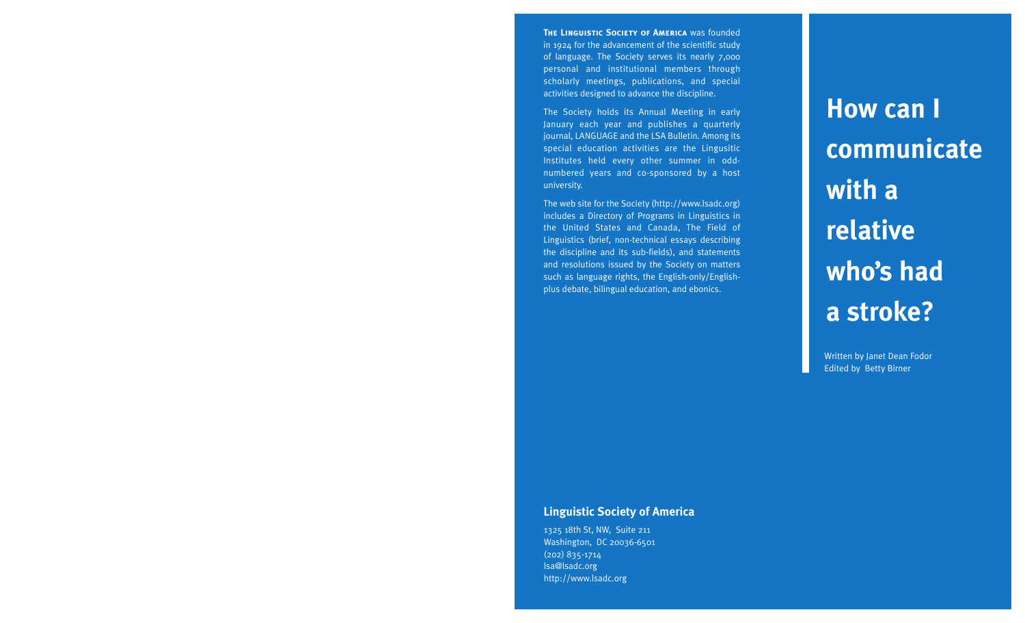**THE LINGUISTIC SOCIETY OF AMERICA WAS founded** in 1924 for the advancement of the scientific study of language. The Society serves its nearly 7,000 personal and institutional members through scholarly meetings, publications, and special activities designed to advance the discipline.

The Society holds its Annual Meeting in early January each year and publishes a quarterly journal, LANGUAGE and the LSA Bulletin. Among its special education activities are the Lingusitic Institutes held every other summer in oddnumbered years and co-sponsored by a host university.

The web site for the Society (http://www.lsadc.org) includes a Directory of Programs in Linguistics in the United States and Canada, The Field of Linguistics (brief, non-technical essays describing the discipline and its sub-fields), and statements and resolutions issued by the Society on matters such as language rights, the English-only/Englishplus debate, bilingual education, and ebonics.

**How can I communicate with a relative who's had a stroke?**

Written by Janet Dean Fodor Edited by Betty Birner

### **Linguistic Society of America**

1325 18th St, NW, Suite 211 Washington, DC 20036-6501 (202) 835-1714 lsa@lsadc.org http://www.lsadc.org